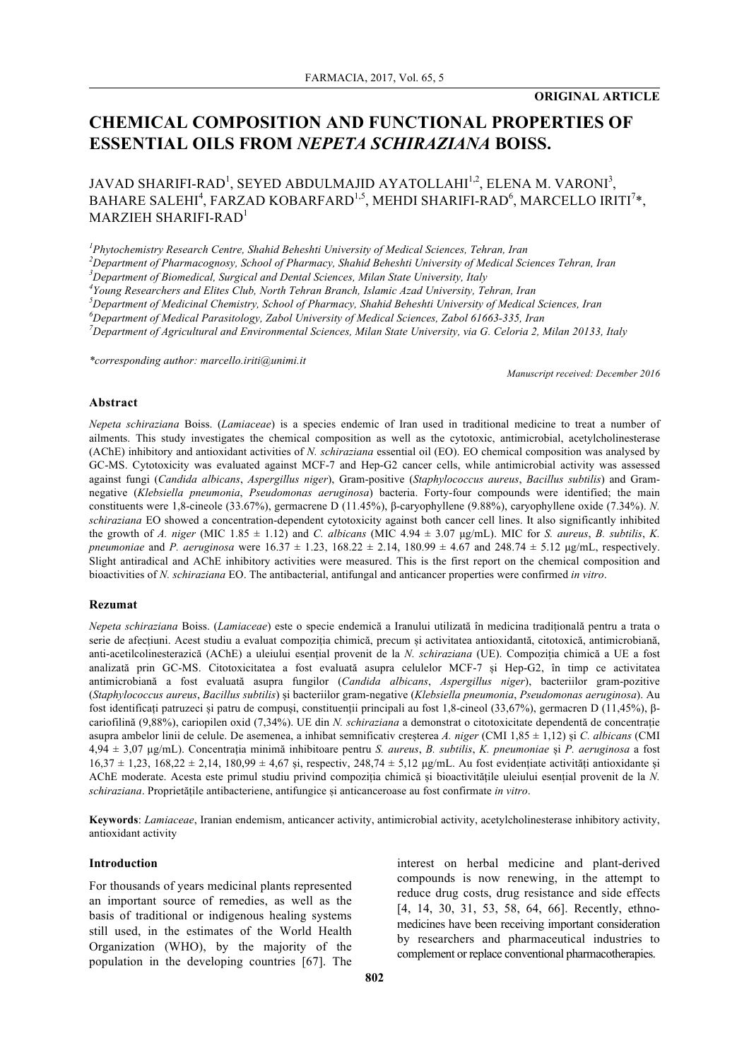## **ORIGINAL ARTICLE**

# **CHEMICAL COMPOSITION AND FUNCTIONAL PROPERTIES OF ESSENTIAL OILS FROM** *NEPETA SCHIRAZIANA* **BOISS.**

## JAVAD SHARIFI-RAD<sup>1</sup>, SEYED ABDULMAJID AYATOLLAHI<sup>1,2</sup>, ELENA M. VARONI<sup>3</sup>, BAHARE SALEHI<sup>4</sup>, FARZAD KOBARFARD<sup>1,5</sup>, MEHDI SHARIFI-RAD<sup>6</sup>, MARCELLO IRITI<sup>7</sup>\*,  $MARZIEH$  SHARIFI-RAD<sup>1</sup>

*1 Phytochemistry Research Centre, Shahid Beheshti University of Medical Sciences, Tehran, Iran*

*2 Department of Pharmacognosy, School of Pharmacy, Shahid Beheshti University of Medical Sciences Tehran, Iran*

*3 Department of Biomedical, Surgical and Dental Sciences, Milan State University, Italy*

*4 Young Researchers and Elites Club, North Tehran Branch, Islamic Azad University, Tehran, Iran*

*5 Department of Medicinal Chemistry, School of Pharmacy, Shahid Beheshti University of Medical Sciences, Iran*

*6 Department of Medical Parasitology, Zabol University of Medical Sciences, Zabol 61663-335, Iran*

*7 Department of Agricultural and Environmental Sciences, Milan State University, via G. Celoria 2, Milan 20133, Italy*

*\*corresponding author: marcello.iriti@unimi.it*

*Manuscript received: December 2016*

## **Abstract**

*Nepeta schiraziana* Boiss. (*Lamiaceae*) is a species endemic of Iran used in traditional medicine to treat a number of ailments. This study investigates the chemical composition as well as the cytotoxic, antimicrobial, acetylcholinesterase (AChE) inhibitory and antioxidant activities of *N. schiraziana* essential oil (EO). EO chemical composition was analysed by GC-MS. Cytotoxicity was evaluated against MCF-7 and Hep-G2 cancer cells, while antimicrobial activity was assessed against fungi (*Candida albicans*, *Aspergillus niger*), Gram-positive (*Staphylococcus aureus*, *Bacillus subtilis*) and Gramnegative (*Klebsiella pneumonia*, *Pseudomonas aeruginosa*) bacteria. Forty-four compounds were identified; the main constituents were 1,8-cineole (33.67%), germacrene D (11.45%), β-caryophyllene (9.88%), caryophyllene oxide (7.34%). *N. schiraziana* EO showed a concentration-dependent cytotoxicity against both cancer cell lines. It also significantly inhibited the growth of *A. niger* (MIC 1.85  $\pm$  1.12) and *C. albicans* (MIC 4.94  $\pm$  3.07 µg/mL). MIC for *S. aureus, B. subtilis, K. pneumoniae* and *P. aeruginosa* were  $16.37 \pm 1.23$ ,  $168.22 \pm 2.14$ ,  $180.99 \pm 4.67$  and  $248.74 \pm 5.12$  µg/mL, respectively. Slight antiradical and AChE inhibitory activities were measured. This is the first report on the chemical composition and bioactivities of *N. schiraziana* EO. The antibacterial, antifungal and anticancer properties were confirmed *in vitro*.

#### **Rezumat**

*Nepeta schiraziana* Boiss. (*Lamiaceae*) este o specie endemică a Iranului utilizată în medicina tradițională pentru a trata o serie de afecțiuni. Acest studiu a evaluat compoziția chimică, precum și activitatea antioxidantă, citotoxică, antimicrobiană, anti-acetilcolinesterazică (AChE) a uleiului esențial provenit de la *N. schiraziana* (UE). Compoziția chimică a UE a fost analizată prin GC-MS. Citotoxicitatea a fost evaluată asupra celulelor MCF-7 și Hep-G2, în timp ce activitatea antimicrobiană a fost evaluată asupra fungilor (*Candida albicans*, *Aspergillus niger*), bacteriilor gram-pozitive (*Staphylococcus aureus*, *Bacillus subtilis*) și bacteriilor gram-negative (*Klebsiella pneumonia*, *Pseudomonas aeruginosa*). Au fost identificați patruzeci și patru de compuși, constituenții principali au fost 1,8-cineol (33,67%), germacren D (11,45%), βcariofilină (9,88%), cariopilen oxid (7,34%). UE din *N. schiraziana* a demonstrat o citotoxicitate dependentă de concentrație asupra ambelor linii de celule. De asemenea, a inhibat semnificativ creșterea *A. niger* (CMI 1,85 ± 1,12) și *C. albicans* (CMI 4,94 ± 3,07 µg/mL). Concentrația minimă inhibitoare pentru *S. aureus*, *B. subtilis*, *K. pneumoniae* și *P. aeruginosa* a fost  $16,37 \pm 1,23$ ,  $168,22 \pm 2,14$ ,  $180,99 \pm 4,67$  și, respectiv,  $248,74 \pm 5,12$  µg/mL. Au fost evidențiate activități antioxidante și AChE moderate. Acesta este primul studiu privind compoziția chimică și bioactivitățile uleiului esențial provenit de la *N. schiraziana*. Proprietățile antibacteriene, antifungice și anticanceroase au fost confirmate *in vitro*.

**Keywords**: *Lamiaceae*, Iranian endemism, anticancer activity, antimicrobial activity, acetylcholinesterase inhibitory activity, antioxidant activity

## **Introduction**

For thousands of years medicinal plants represented an important source of remedies, as well as the basis of traditional or indigenous healing systems still used, in the estimates of the World Health Organization (WHO), by the majority of the population in the developing countries [67]. The interest on herbal medicine and plant-derived compounds is now renewing, in the attempt to reduce drug costs, drug resistance and side effects [4, 14, 30, 31, 53, 58, 64, 66]. Recently, ethnomedicines have been receiving important consideration by researchers and pharmaceutical industries to complement or replace conventional pharmacotherapies.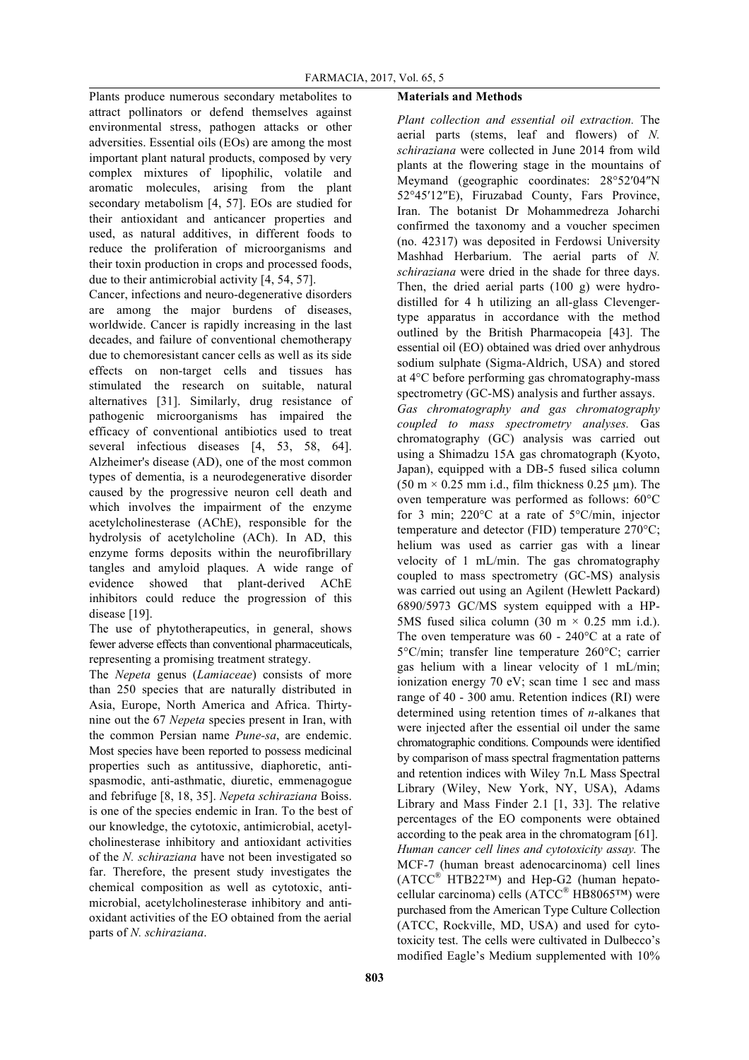Plants produce numerous secondary metabolites to attract pollinators or defend themselves against environmental stress, pathogen attacks or other adversities. Essential oils (EOs) are among the most important plant natural products, composed by very complex mixtures of lipophilic, volatile and aromatic molecules, arising from the plant secondary metabolism [4, 57]. EOs are studied for their antioxidant and anticancer properties and used, as natural additives, in different foods to reduce the proliferation of microorganisms and their toxin production in crops and processed foods, due to their antimicrobial activity [4, 54, 57].

Cancer, infections and neuro-degenerative disorders are among the major burdens of diseases, worldwide. Cancer is rapidly increasing in the last decades, and failure of conventional chemotherapy due to chemoresistant cancer cells as well as its side effects on non-target cells and tissues has stimulated the research on suitable, natural alternatives [31]. Similarly, drug resistance of pathogenic microorganisms has impaired the efficacy of conventional antibiotics used to treat several infectious diseases [4, 53, 58, 64]. Alzheimer's disease (AD), one of the most common types of dementia, is a neurodegenerative disorder caused by the progressive neuron cell death and which involves the impairment of the enzyme acetylcholinesterase (AChE), responsible for the hydrolysis of acetylcholine (ACh). In AD, this enzyme forms deposits within the neurofibrillary tangles and amyloid plaques. A wide range of evidence showed that plant-derived AChE inhibitors could reduce the progression of this disease [19].

The use of phytotherapeutics, in general, shows fewer adverse effects than conventional pharmaceuticals, representing a promising treatment strategy.

The *Nepeta* genus (*Lamiaceae*) consists of more than 250 species that are naturally distributed in Asia, Europe, North America and Africa. Thirtynine out the 67 *Nepeta* species present in Iran, with the common Persian name *Pune-sa*, are endemic. Most species have been reported to possess medicinal properties such as antitussive, diaphoretic, antispasmodic, anti-asthmatic, diuretic, emmenagogue and febrifuge [8, 18, 35]. *Nepeta schiraziana* Boiss. is one of the species endemic in Iran. To the best of our knowledge, the cytotoxic, antimicrobial, acetylcholinesterase inhibitory and antioxidant activities of the *N. schiraziana* have not been investigated so far. Therefore, the present study investigates the chemical composition as well as cytotoxic, antimicrobial, acetylcholinesterase inhibitory and antioxidant activities of the EO obtained from the aerial parts of *N. schiraziana*.

## **Materials and Methods**

*Plant collection and essential oil extraction.* The aerial parts (stems, leaf and flowers) of *N. schiraziana* were collected in June 2014 from wild plants at the flowering stage in the mountains of Meymand (geographic coordinates: 28°52′04″N 52°45′12″E), Firuzabad County, Fars Province, Iran. The botanist Dr Mohammedreza Joharchi confirmed the taxonomy and a voucher specimen (no. 42317) was deposited in Ferdowsi University Mashhad Herbarium. The aerial parts of *N. schiraziana* were dried in the shade for three days. Then, the dried aerial parts (100 g) were hydrodistilled for 4 h utilizing an all-glass Clevengertype apparatus in accordance with the method outlined by the British Pharmacopeia [43]. The essential oil (EO) obtained was dried over anhydrous sodium sulphate (Sigma-Aldrich, USA) and stored at 4°C before performing gas chromatography-mass spectrometry (GC-MS) analysis and further assays. *Gas chromatography and gas chromatography coupled to mass spectrometry analyses.* Gas chromatography (GC) analysis was carried out using a Shimadzu 15A gas chromatograph (Kyoto, Japan), equipped with a DB-5 fused silica column  $(50 \text{ m} \times 0.25 \text{ mm})$  i.d., film thickness 0.25  $\mu$ m). The oven temperature was performed as follows: 60°C for 3 min; 220°C at a rate of 5°C/min, injector temperature and detector (FID) temperature 270°C; helium was used as carrier gas with a linear velocity of 1 mL/min. The gas chromatography coupled to mass spectrometry (GC-MS) analysis was carried out using an Agilent (Hewlett Packard) 6890/5973 GC/MS system equipped with a HP-5MS fused silica column (30 m  $\times$  0.25 mm i.d.). The oven temperature was 60 - 240°C at a rate of 5°C/min; transfer line temperature 260°C; carrier gas helium with a linear velocity of 1 mL/min; ionization energy 70 eV; scan time 1 sec and mass range of 40 - 300 amu. Retention indices (RI) were determined using retention times of *n*-alkanes that were injected after the essential oil under the same chromatographic conditions. Compounds were identified by comparison of mass spectral fragmentation patterns and retention indices with Wiley 7n.L Mass Spectral Library (Wiley, New York, NY, USA), Adams Library and Mass Finder 2.1 [1, 33]. The relative percentages of the EO components were obtained according to the peak area in the chromatogram [61]. *Human cancer cell lines and cytotoxicity assay.* The MCF-7 (human breast adenocarcinoma) cell lines  $(ATCC^{\otimes} HTB22^{TM})$  and Hep-G2 (human hepatocellular carcinoma) cells (ATCC® HB8065™) were purchased from the American Type Culture Collection (ATCC, Rockville, MD, USA) and used for cytotoxicity test. The cells were cultivated in Dulbecco's modified Eagle's Medium supplemented with 10%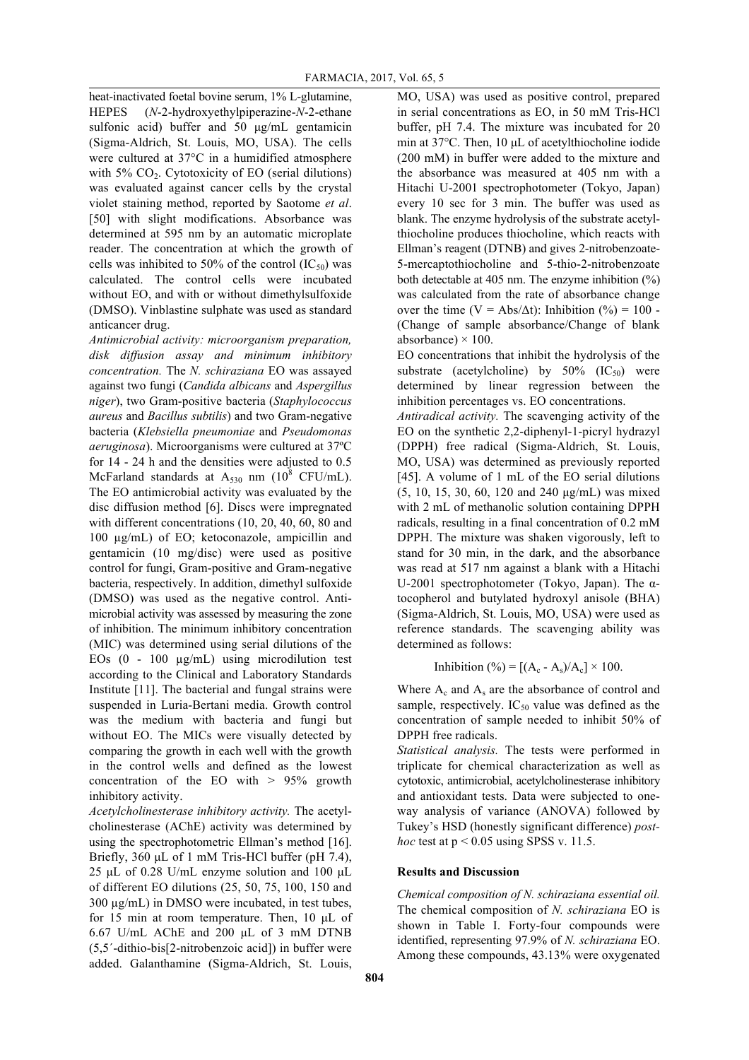heat-inactivated foetal bovine serum, 1% L-glutamine, HEPES (*N*-2-hydroxyethylpiperazine-*N*-2-ethane sulfonic acid) buffer and 50  $\mu$ g/mL gentamicin (Sigma-Aldrich, St. Louis, MO, USA). The cells were cultured at 37°C in a humidified atmosphere with  $5\%$  CO<sub>2</sub>. Cytotoxicity of EO (serial dilutions) was evaluated against cancer cells by the crystal violet staining method, reported by Saotome *et al*. [50] with slight modifications. Absorbance was determined at 595 nm by an automatic microplate reader. The concentration at which the growth of cells was inhibited to 50% of the control  $(IC_{50})$  was calculated. The control cells were incubated without EO, and with or without dimethylsulfoxide (DMSO). Vinblastine sulphate was used as standard anticancer drug.

*Antimicrobial activity: microorganism preparation, disk diffusion assay and minimum inhibitory concentration.* The *N. schiraziana* EO was assayed against two fungi (*Candida albicans* and *Aspergillus niger*), two Gram-positive bacteria (*Staphylococcus aureus* and *Bacillus subtilis*) and two Gram-negative bacteria (*Klebsiella pneumoniae* and *Pseudomonas aeruginosa*). Microorganisms were cultured at 37ºC for 14 - 24 h and the densities were adjusted to 0.5 McFarland standards at  $A_{530}$  nm (10<sup>8</sup> CFU/mL). The EO antimicrobial activity was evaluated by the disc diffusion method [6]. Discs were impregnated with different concentrations (10, 20, 40, 60, 80 and 100 µg/mL) of EO; ketoconazole, ampicillin and gentamicin (10 mg/disc) were used as positive control for fungi, Gram-positive and Gram-negative bacteria, respectively. In addition, dimethyl sulfoxide (DMSO) was used as the negative control. Antimicrobial activity was assessed by measuring the zone of inhibition. The minimum inhibitory concentration (MIC) was determined using serial dilutions of the EOs (0 - 100 µg/mL) using microdilution test according to the Clinical and Laboratory Standards Institute [11]. The bacterial and fungal strains were suspended in Luria-Bertani media. Growth control was the medium with bacteria and fungi but without EO. The MICs were visually detected by comparing the growth in each well with the growth in the control wells and defined as the lowest concentration of the EO with  $> 95\%$  growth inhibitory activity.

*Acetylcholinesterase inhibitory activity.* The acetylcholinesterase (AChE) activity was determined by using the spectrophotometric Ellman's method [16]. Briefly, 360 µL of 1 mM Tris-HCl buffer (pH 7.4), 25 µL of 0.28 U/mL enzyme solution and 100 µL of different EO dilutions (25, 50, 75, 100, 150 and 300 µg/mL) in DMSO were incubated, in test tubes, for 15 min at room temperature. Then, 10 µL of 6.67 U/mL AChE and 200 µL of 3 mM DTNB (5,5´-dithio-bis[2-nitrobenzoic acid]) in buffer were added. Galanthamine (Sigma-Aldrich, St. Louis,

MO, USA) was used as positive control, prepared in serial concentrations as EO, in 50 mM Tris-HCl buffer, pH 7.4. The mixture was incubated for 20 min at 37°C. Then, 10 µL of acetylthiocholine iodide (200 mM) in buffer were added to the mixture and the absorbance was measured at 405 nm with a Hitachi U-2001 spectrophotometer (Tokyo, Japan) every 10 sec for 3 min. The buffer was used as blank. The enzyme hydrolysis of the substrate acetylthiocholine produces thiocholine, which reacts with Ellman's reagent (DTNB) and gives 2-nitrobenzoate-5-mercaptothiocholine and 5-thio-2-nitrobenzoate both detectable at 405 nm. The enzyme inhibition (%) was calculated from the rate of absorbance change over the time (V = Abs/ $\Delta t$ ): Inhibition (%) = 100 -(Change of sample absorbance/Change of blank absorbance)  $\times$  100.

EO concentrations that inhibit the hydrolysis of the substrate (acetylcholine) by  $50\%$  (IC<sub>50</sub>) were determined by linear regression between the inhibition percentages vs. EO concentrations.

*Antiradical activity.* The scavenging activity of the EO on the synthetic 2,2-diphenyl-1-picryl hydrazyl (DPPH) free radical (Sigma-Aldrich, St. Louis, MO, USA) was determined as previously reported [45]. A volume of 1 mL of the EO serial dilutions (5, 10, 15, 30, 60, 120 and 240 µg/mL) was mixed with 2 mL of methanolic solution containing DPPH radicals, resulting in a final concentration of 0.2 mM DPPH. The mixture was shaken vigorously, left to stand for 30 min, in the dark, and the absorbance was read at 517 nm against a blank with a Hitachi U-2001 spectrophotometer (Tokyo, Japan). The αtocopherol and butylated hydroxyl anisole (BHA) (Sigma-Aldrich, St. Louis, MO, USA) were used as reference standards. The scavenging ability was determined as follows:

Inhibition (%) =  $[(A_c - A_s)/A_c] \times 100$ .

Where  $A_c$  and  $A_s$  are the absorbance of control and sample, respectively.  $IC_{50}$  value was defined as the concentration of sample needed to inhibit 50% of DPPH free radicals.

*Statistical analysis.* The tests were performed in triplicate for chemical characterization as well as cytotoxic, antimicrobial, acetylcholinesterase inhibitory and antioxidant tests. Data were subjected to oneway analysis of variance (ANOVA) followed by Tukey's HSD (honestly significant difference) *posthoc* test at  $p < 0.05$  using SPSS v. 11.5.

## **Results and Discussion**

*Chemical composition of N. schiraziana essential oil.* The chemical composition of *N. schiraziana* EO is shown in Table I. Forty-four compounds were identified, representing 97.9% of *N. schiraziana* EO. Among these compounds, 43.13% were oxygenated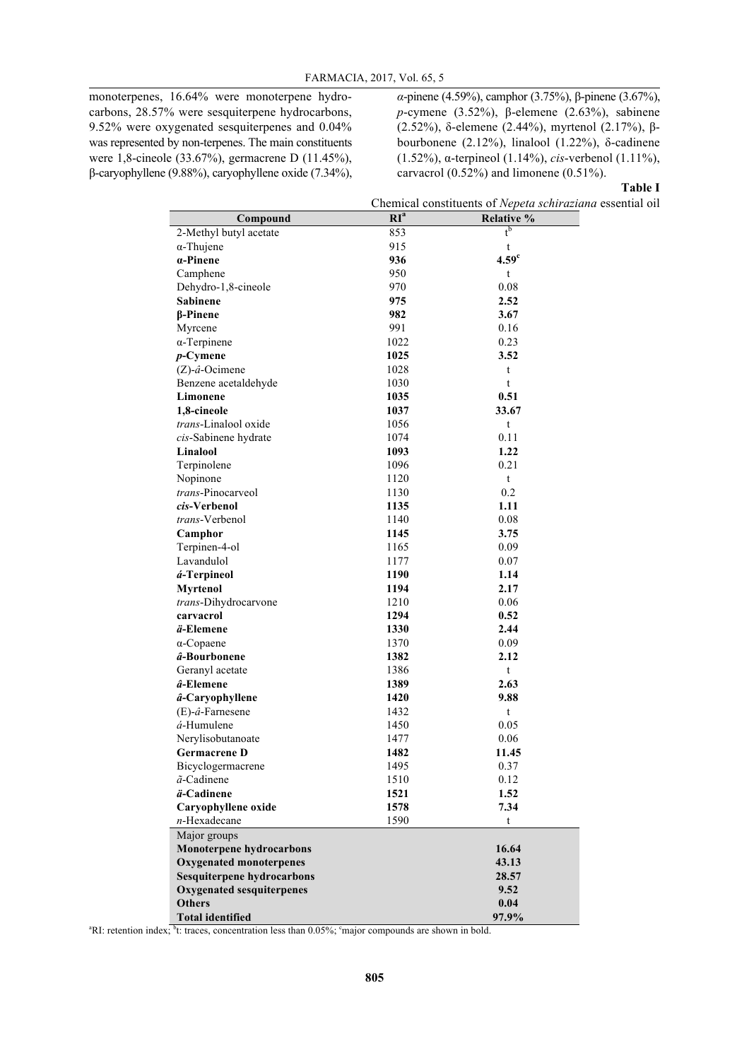monoterpenes, 16.64% were monoterpene hydrocarbons, 28.57% were sesquiterpene hydrocarbons, 9.52% were oxygenated sesquiterpenes and 0.04% was represented by non-terpenes. The main constituents were 1,8-cineole (33.67%), germacrene D (11.45%), β-caryophyllene (9.88%), caryophyllene oxide (7.34%), *α*-pinene (4.59%), camphor (3.75%), β-pinene (3.67%), *p*-cymene (3.52%), β-elemene (2.63%), sabinene (2.52%), δ-elemene (2.44%), myrtenol (2.17%), βbourbonene (2.12%), linalool (1.22%), δ-cadinene (1.52%), α-terpineol (1.14%), *cis*-verbenol (1.11%), carvacrol (0.52%) and limonene (0.51%).

## **Table I**

Chemical constituents of *Nepeta schiraziana* essential oil

| Compound                          | RI <sup>a</sup> | $01110$ point better were<br>Relative % |
|-----------------------------------|-----------------|-----------------------------------------|
| 2-Methyl butyl acetate            | 853             | $t^{\overline{b}}$                      |
| $\alpha$ -Thujene                 | 915             | t                                       |
| $\alpha$ -Pinene                  | 936             | 4.59 <sup>c</sup>                       |
| Camphene                          | 950             | t                                       |
| Dehydro-1,8-cineole               | 970             | 0.08                                    |
| <b>Sabinene</b>                   | 975             | 2.52                                    |
| β-Pinene                          | 982             | 3.67                                    |
| Myrcene                           | 991             | 0.16                                    |
| $\alpha$ -Terpinene               | 1022            | 0.23                                    |
| $p$ -Cymene                       | 1025            | 3.52                                    |
| $(Z)$ -â-Ocimene                  | 1028            | t                                       |
| Benzene acetaldehyde              | 1030            | t                                       |
| Limonene                          | 1035            | 0.51                                    |
| 1,8-cineole                       | 1037            | 33.67                                   |
| trans-Linalool oxide              | 1056            | t                                       |
| cis-Sabinene hydrate              | 1074            | 0.11                                    |
| Linalool                          | 1093            | 1.22                                    |
| Terpinolene                       | 1096            | 0.21                                    |
| Nopinone                          | 1120            | t                                       |
| trans-Pinocarveol                 | 1130            | 0.2                                     |
| cis-Verbenol                      | 1135            | 1.11                                    |
| <i>trans</i> -Verbenol            | 1140            | 0.08                                    |
| Camphor                           | 1145            | 3.75                                    |
| Terpinen-4-ol                     | 1165            | 0.09                                    |
| Lavandulol                        | 1177            | 0.07                                    |
| á-Terpineol                       | 1190            | 1.14                                    |
| Myrtenol                          | 1194            | 2.17                                    |
| trans-Dihydrocarvone              | 1210            | 0.06                                    |
| carvacrol                         | 1294            | 0.52                                    |
| ä-Elemene                         | 1330            | 2.44                                    |
| $\alpha$ -Copaene                 | 1370            | 0.09                                    |
| â-Bourbonene                      | 1382            | 2.12                                    |
| Geranyl acetate                   | 1386            | t                                       |
| â-Elemene                         | 1389            | 2.63                                    |
| â-Caryophyllene                   | 1420            | 9.88                                    |
| $(E)$ - $\hat{a}$ -Farnesene      | 1432            | t                                       |
| $a$ -Humulene                     | 1450            | 0.05                                    |
| Nerylisobutanoate                 | 1477            | 0.06                                    |
| <b>Germacrene D</b>               | 1482            | 11.45                                   |
| Bicyclogermacrene                 | 1495            | 0.37                                    |
| $\tilde{a}$ -Cadinene             | 1510            | 0.12                                    |
| ä-Cadinene                        | 1521            | 1.52                                    |
| Caryophyllene oxide               | 1578            | 7.34                                    |
| $n$ -Hexadecane                   | 1590            | t                                       |
| Major groups                      |                 |                                         |
| <b>Monoterpene hydrocarbons</b>   |                 | 16.64                                   |
| <b>Oxygenated monoterpenes</b>    |                 | 43.13                                   |
| <b>Sesquiterpene hydrocarbons</b> |                 | 28.57                                   |
| <b>Oxygenated sesquiterpenes</b>  |                 | 9.52                                    |
| <b>Others</b>                     |                 | 0.04                                    |
| <b>Total identified</b>           |                 | 97.9%                                   |

<sup>a</sup>RI: retention index; <sup>b</sup>t: traces, concentration less than 0.05%; <sup>e</sup>major compounds are shown in bold.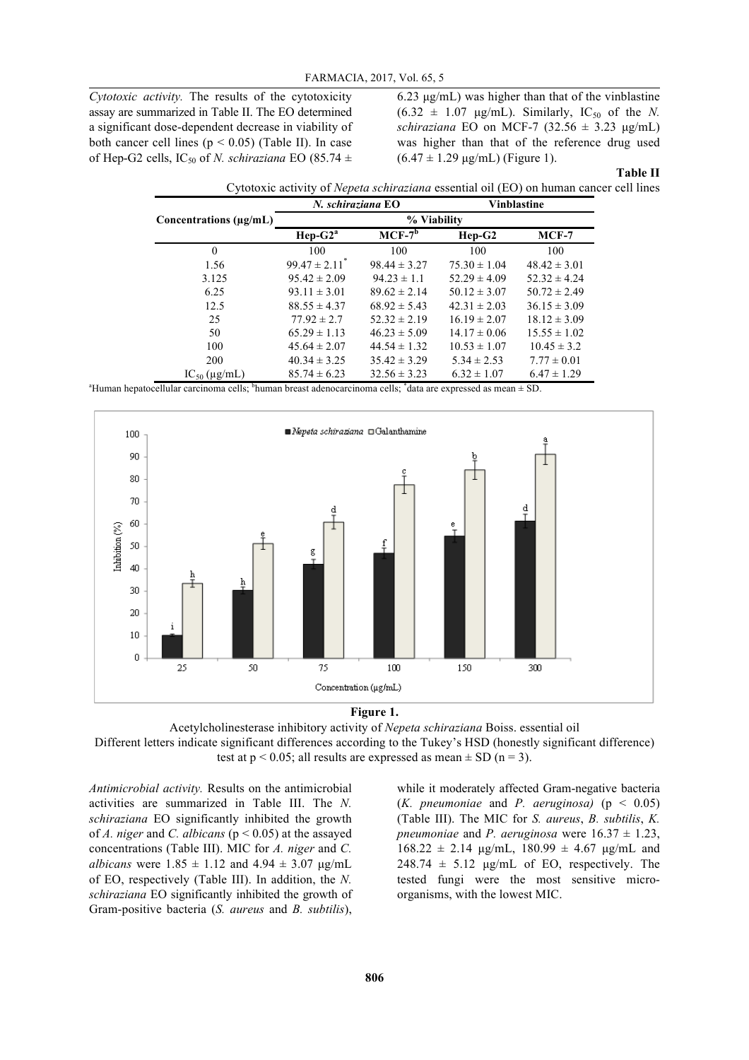*Cytotoxic activity.* The results of the cytotoxicity assay are summarized in Table II. The EO determined a significant dose-dependent decrease in viability of both cancer cell lines ( $p < 0.05$ ) (Table II). In case of Hep-G2 cells, IC<sub>50</sub> of *N. schiraziana* EO (85.74  $\pm$ 

6.23 µg/mL) was higher than that of the vinblastine  $(6.32 \pm 1.07 \text{ µg/mL})$ . Similarly, IC<sub>50</sub> of the *N*. *schiraziana* EO on MCF-7 (32.56 ± 3.23 µg/mL) was higher than that of the reference drug used  $(6.47 \pm 1.29 \,\mu\text{g/mL})$  (Figure 1).

#### **Table II**

Cytotoxic activity of *Nepeta schiraziana* essential oil (EO) on human cancer cell lines

|                                   | N. schiraziana EO             |                  | <b>Vinblastine</b> |                  |  |
|-----------------------------------|-------------------------------|------------------|--------------------|------------------|--|
| Concentrations $(\mu \varrho/mL)$ | % Viability                   |                  |                    |                  |  |
|                                   | $Hep-G2a$                     | $MCF-7^b$        | $Hep-G2$           | $MCF-7$          |  |
| $\theta$                          | 100                           | 100              | 100                | 100              |  |
| 1.56                              | $99.47 \pm 2.11$ <sup>*</sup> | $98.44 \pm 3.27$ | $75.30 \pm 1.04$   | $48.42 \pm 3.01$ |  |
| 3.125                             | $95.42 \pm 2.09$              | $94.23 \pm 1.1$  | $52.29 \pm 4.09$   | $52.32 \pm 4.24$ |  |
| 6.25                              | $93.11 \pm 3.01$              | $89.62 \pm 2.14$ | $50.12 \pm 3.07$   | $50.72 \pm 2.49$ |  |
| 12.5                              | $88.55 \pm 4.37$              | $68.92 \pm 5.43$ | $42.31 \pm 2.03$   | $36.15 \pm 3.09$ |  |
| 25                                | $77.92 \pm 2.7$               | $52.32 \pm 2.19$ | $16.19 \pm 2.07$   | $18.12 \pm 3.09$ |  |
| 50                                | $65.29 \pm 1.13$              | $46.23 \pm 5.09$ | $14.17 \pm 0.06$   | $15.55 \pm 1.02$ |  |
| 100                               | $45.64 \pm 2.07$              | $44.54 \pm 1.32$ | $10.53 \pm 1.07$   | $10.45 \pm 3.2$  |  |
| 200                               | $40.34 \pm 3.25$              | $35.42 \pm 3.29$ | $5.34 \pm 2.53$    | $7.77 \pm 0.01$  |  |
| $IC_{50}$ (µg/mL)                 | $85.74 \pm 6.23$              | $32.56 \pm 3.23$ | $6.32 \pm 1.07$    | $6.47 \pm 1.29$  |  |

<sup>a</sup>Human hepatocellular carcinoma cells; <sup>b</sup>human breast adenocarcinoma cells; <sup>\*</sup>data are expressed as mean ± SD.





Acetylcholinesterase inhibitory activity of *Nepeta schiraziana* Boiss. essential oil Different letters indicate significant differences according to the Tukey's HSD (honestly significant difference)

test at  $p < 0.05$ ; all results are expressed as mean  $\pm$  SD (n = 3).

*Antimicrobial activity.* Results on the antimicrobial activities are summarized in Table III. The *N. schiraziana* EO significantly inhibited the growth of *A. niger* and *C. albicans* (p < 0.05) at the assayed concentrations (Table III). MIC for *A. niger* and *C. albicans* were  $1.85 \pm 1.12$  and  $4.94 \pm 3.07$  µg/mL of EO, respectively (Table III). In addition, the *N. schiraziana* EO significantly inhibited the growth of Gram-positive bacteria (*S. aureus* and *B. subtilis*),

while it moderately affected Gram-negative bacteria (*K. pneumoniae* and *P. aeruginosa*) ( $p < 0.05$ ) (Table III). The MIC for *S. aureus*, *B. subtilis*, *K. pneumoniae* and *P. aeruginosa* were  $16.37 \pm 1.23$ ,  $168.22 \pm 2.14$  µg/mL,  $180.99 \pm 4.67$  µg/mL and  $248.74 \pm 5.12$  µg/mL of EO, respectively. The tested fungi were the most sensitive microorganisms, with the lowest MIC.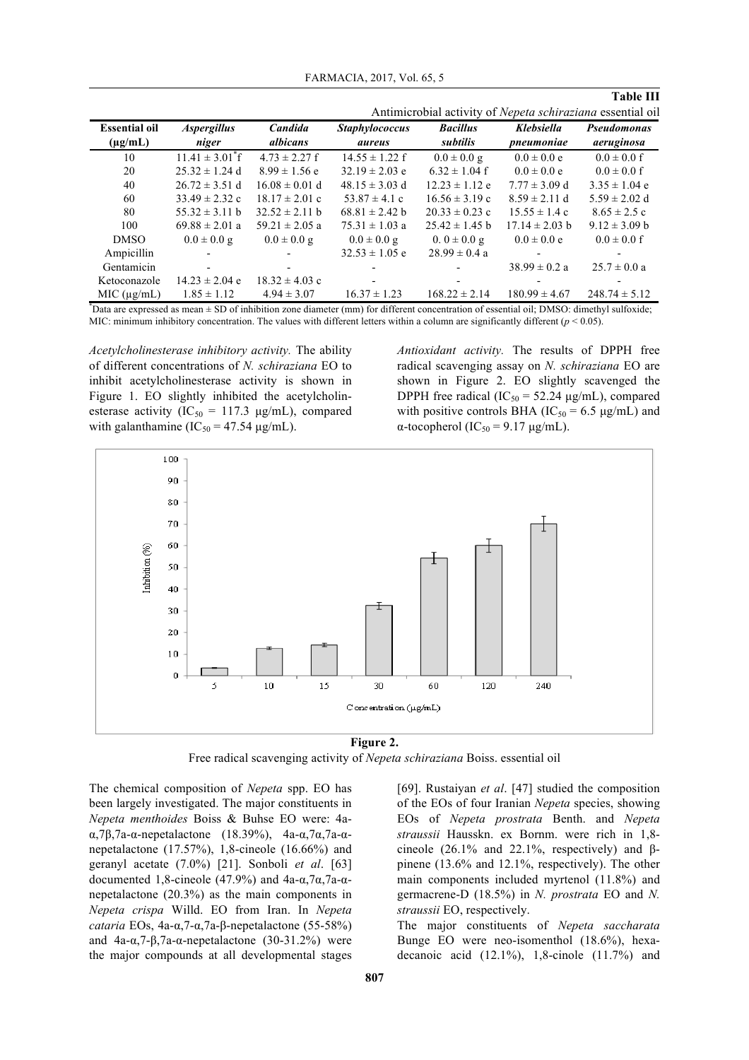| FARMACIA, 2017, Vol. 65, 5 |  |  |  |  |
|----------------------------|--|--|--|--|
|----------------------------|--|--|--|--|

#### **Table III**

|                                      |                                    |                     | Antimicrobial activity of <i>Nepeta schiraziana</i> essential oil |                                    |                          |                           |
|--------------------------------------|------------------------------------|---------------------|-------------------------------------------------------------------|------------------------------------|--------------------------|---------------------------|
| <b>Essential oil</b><br>$(\mu g/mL)$ | <i><b>Aspergillus</b></i><br>niger | Candida<br>albicans | <b>Staphylococcus</b><br>aureus                                   | <b>Bacillus</b><br><i>subtilis</i> | Klebsiella<br>pneumoniae | Pseudomonas<br>aeruginosa |
| 10                                   | $11.41 \pm 3.01^{\circ}$ f         | $4.73 \pm 2.27$ f   | $14.55 \pm 1.22$ f                                                | $0.0 \pm 0.0 g$                    | $0.0 \pm 0.0 e$          | $0.0 \pm 0.0$ f           |
| 20                                   | $25.32 \pm 1.24$ d                 | $8.99 \pm 1.56$ e   | $32.19 \pm 2.03$ e                                                | $6.32 \pm 1.04$ f                  | $0.0 \pm 0.0 e$          | $0.0 \pm 0.0$ f           |
| 40                                   | $26.72 \pm 3.51$ d                 | $16.08 \pm 0.01$ d  | $48.15 \pm 3.03$ d                                                | $12.23 \pm 1.12$ e                 | $7.77 \pm 3.09$ d        | $3.35 \pm 1.04$ e         |
| 60                                   | $33.49 \pm 2.32$ c                 | $18.17 \pm 2.01$ c  | $53.87 \pm 4.1$ c                                                 | $16.56 \pm 3.19$ c                 | $8.59 \pm 2.11$ d        | $5.59 \pm 2.02$ d         |
| 80                                   | $55.32 \pm 3.11 b$                 | $32.52 \pm 2.11$ b  | $68.81 \pm 2.42$ b                                                | $20.33 \pm 0.23$ c                 | $15.55 \pm 1.4$ c        | $8.65 \pm 2.5$ c          |
| 100                                  | $69.88 \pm 2.01$ a                 | $59.21 \pm 2.05$ a  | $75.31 \pm 1.03$ a                                                | $25.42 \pm 1.45$ b                 | $17.14 \pm 2.03$ b       | $9.12 \pm 3.09$ b         |
| <b>DMSO</b>                          | $0.0 \pm 0.0 g$                    | $0.0 \pm 0.0 g$     | $0.0 \pm 0.0 g$                                                   | $0.0 \pm 0.0 g$                    | $0.0 \pm 0.0 e$          | $0.0 \pm 0.0$ f           |
| Ampicillin                           |                                    |                     | $32.53 \pm 1.05$ e                                                | $28.99 \pm 0.4$ a                  |                          |                           |
| Gentamicin                           |                                    |                     |                                                                   |                                    | $38.99 \pm 0.2 a$        | $25.7 \pm 0.0 a$          |
| Ketoconazole                         | $14.23 \pm 2.04$ e                 | $18.32 \pm 4.03$ c  |                                                                   |                                    |                          |                           |
| MIC (ug/mL)                          | $1.85 \pm 1.12$                    | $4.94 \pm 3.07$     | $16.37 \pm 1.23$                                                  | $168.22 \pm 2.14$                  | $180.99 \pm 4.67$        | $248.74 \pm 5.12$         |

\* Data are expressed as mean ± SD of inhibition zone diameter (mm) for different concentration of essential oil; DMSO: dimethyl sulfoxide; MIC: minimum inhibitory concentration. The values with different letters within a column are significantly different (*p* < 0.05).

*Acetylcholinesterase inhibitory activity.* The ability of different concentrations of *N. schiraziana* EO to inhibit acetylcholinesterase activity is shown in Figure 1. EO slightly inhibited the acetylcholinesterase activity ( $IC_{50} = 117.3 \text{ µg/mL}$ ), compared with galanthamine ( $IC_{50} = 47.54 \mu g/mL$ ).

*Antioxidant activity.* The results of DPPH free radical scavenging assay on *N. schiraziana* EO are shown in Figure 2. EO slightly scavenged the DPPH free radical ( $IC_{50} = 52.24 \mu g/mL$ ), compared with positive controls BHA ( $IC_{50} = 6.5 \mu g/mL$ ) and α-tocopherol (IC<sub>50</sub> = 9.17 μg/mL).



**Figure 2.**

Free radical scavenging activity of *Nepeta schiraziana* Boiss. essential oil

The chemical composition of *Nepeta* spp. EO has been largely investigated. The major constituents in *Nepeta menthoides* Boiss & Buhse EO were: 4aα,7β,7a-α-nepetalactone (18.39%), 4a-α,7α,7a-αnepetalactone (17.57%), 1,8-cineole (16.66%) and geranyl acetate (7.0%) [21]. Sonboli *et al*. [63] documented 1,8-cineole (47.9%) and 4a-α,7α,7a-αnepetalactone (20.3%) as the main components in *Nepeta crispa* Willd. EO from Iran. In *Nepeta cataria* EOs, 4a-α,7-α,7a-β-nepetalactone (55-58%) and  $4a-α,7-β,7a-α-nepetalactone (30-31.2%)$  were the major compounds at all developmental stages

[69]. Rustaiyan *et al*. [47] studied the composition of the EOs of four Iranian *Nepeta* species, showing EOs of *Nepeta prostrata* Benth. and *Nepeta straussii* Hausskn. ex Bornm. were rich in 1,8 cineole  $(26.1\%$  and  $22.1\%$ , respectively) and  $\beta$ pinene (13.6% and 12.1%, respectively). The other main components included myrtenol (11.8%) and germacrene-D (18.5%) in *N. prostrata* EO and *N. straussii* EO, respectively.

The major constituents of *Nepeta saccharata* Bunge EO were neo-isomenthol (18.6%), hexadecanoic acid (12.1%), 1,8-cinole (11.7%) and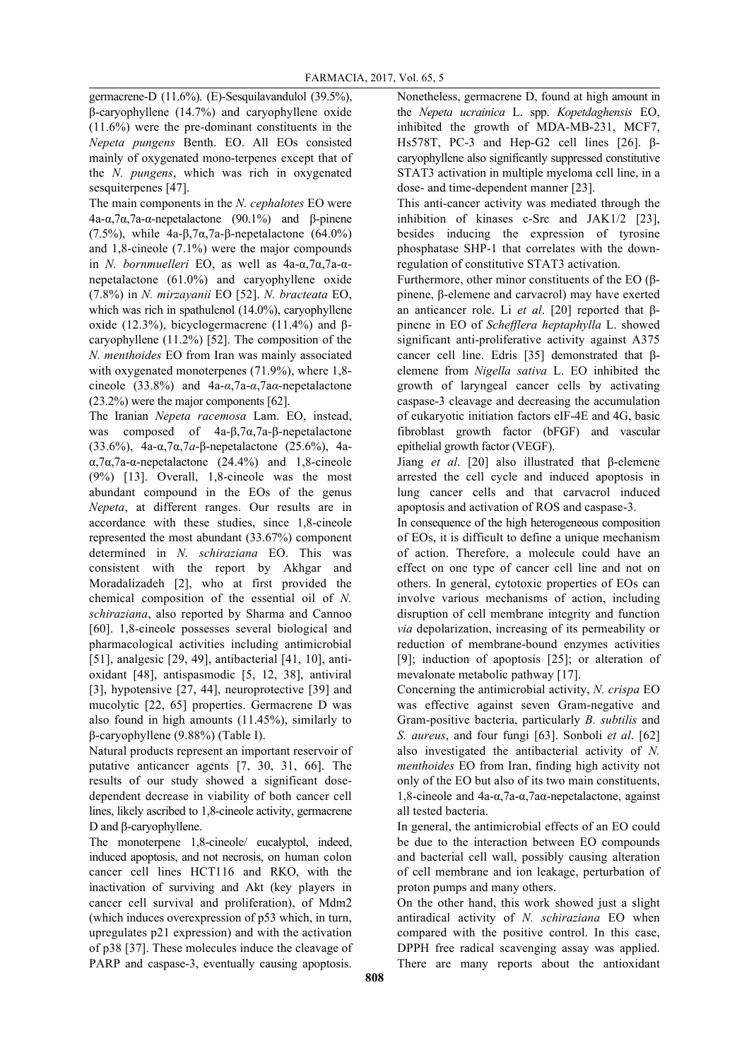germacrene-D (11.6%). (E)-Sesquilavandulol (39.5%), β-caryophyllene (14.7%) and caryophyllene oxide (11.6%) were the pre-dominant constituents in the *Nepeta pungens* Benth. EO. All EOs consisted mainly of oxygenated mono-terpenes except that of the *N. pungens*, which was rich in oxygenated sesquiterpenes [47].

The main components in the *N. cephalotes* EO were 4a-α,7α,7a-α-nepetalactone (90.1%) and β-pinene (7.5%), while 4a-β,7α,7a-β-nepetalactone (64.0%) and 1,8-cineole (7.1%) were the major compounds in *N. bornmuelleri* EO, as well as 4a-α,7α,7a-αnepetalactone (61.0%) and caryophyllene oxide (7.8%) in *N. mirzayanii* EO [52]. *N. bracteata* EO, which was rich in spathulenol (14.0%), caryophyllene oxide (12.3%), bicyclogermacrene (11.4%) and βcaryophyllene (11.2%) [52]. The composition of the *N. menthoides* EO from Iran was mainly associated with oxygenated monoterpenes (71.9%), where 1,8cineole (33.8%) and 4a-*α*,7a-*α*,7a*α*-nepetalactone (23.2%) were the major components [62].

The Iranian *Nepeta racemosa* Lam. EO, instead, was composed of 4a-β,7α,7a-β-nepetalactone (33.6%), 4a-α,7α,7*a*-β-nepetalactone (25.6%), 4aα,7α,7a-α-nepetalactone (24.4%) and 1,8-cineole (9%) [13]. Overall, 1,8-cineole was the most abundant compound in the EOs of the genus *Nepeta*, at different ranges. Our results are in accordance with these studies, since 1,8-cineole represented the most abundant (33.67%) component determined in *N. schiraziana* EO. This was consistent with the report by Akhgar and Moradalizadeh [2], who at first provided the chemical composition of the essential oil of *N. schiraziana*, also reported by Sharma and Cannoo [60]. 1,8-cineole possesses several biological and pharmacological activities including antimicrobial [51], analgesic [29, 49], antibacterial [41, 10], antioxidant [48], antispasmodic [5, 12, 38], antiviral [3], hypotensive [27, 44], neuroprotective [39] and mucolytic [22, 65] properties. Germacrene D was also found in high amounts (11.45%), similarly to β-caryophyllene (9.88%) (Table I).

Natural products represent an important reservoir of putative anticancer agents [7, 30, 31, 66]. The results of our study showed a significant dosedependent decrease in viability of both cancer cell lines, likely ascribed to 1,8-cineole activity, germacrene D and β-caryophyllene.

The monoterpene 1,8-cineole/ eucalyptol, indeed, induced apoptosis, and not necrosis, on human colon cancer cell lines HCT116 and RKO, with the inactivation of surviving and Akt (key players in cancer cell survival and proliferation), of Mdm2 (which induces overexpression of p53 which, in turn, upregulates p21 expression) and with the activation of p38 [37]. These molecules induce the cleavage of PARP and caspase-3, eventually causing apoptosis. Nonetheless, germacrene D, found at high amount in the *Nepeta ucrainica* L. spp. *Kopetdaghensis* EO, inhibited the growth of MDA-MB-231, MCF7, Hs578T, PC-3 and Hep-G2 cell lines [26]. βcaryophyllene also significantly suppressed constitutive STAT3 activation in multiple myeloma cell line, in a dose- and time-dependent manner [23].

This anti-cancer activity was mediated through the inhibition of kinases c-Src and JAK1/2 [23], besides inducing the expression of tyrosine phosphatase SHP-1 that correlates with the downregulation of constitutive STAT3 activation.

Furthermore, other minor constituents of the EO (βpinene, β-elemene and carvacrol) may have exerted an anticancer role. Li *et al*. [20] reported that βpinene in EO of *Schefflera heptaphylla* L. showed significant anti-proliferative activity against A375 cancer cell line. Edris [35] demonstrated that βelemene from *Nigella sativa* L. EO inhibited the growth of laryngeal cancer cells by activating caspase-3 cleavage and decreasing the accumulation of eukaryotic initiation factors eIF-4E and 4G, basic fibroblast growth factor (bFGF) and vascular epithelial growth factor (VEGF).

Jiang *et al*. [20] also illustrated that β-elemene arrested the cell cycle and induced apoptosis in lung cancer cells and that carvacrol induced apoptosis and activation of ROS and caspase-3.

In consequence of the high heterogeneous composition of EOs, it is difficult to define a unique mechanism of action. Therefore, a molecule could have an effect on one type of cancer cell line and not on others. In general, cytotoxic properties of EOs can involve various mechanisms of action, including disruption of cell membrane integrity and function *via* depolarization, increasing of its permeability or reduction of membrane-bound enzymes activities [9]; induction of apoptosis [25]; or alteration of mevalonate metabolic pathway [17].

Concerning the antimicrobial activity, *N. crispa* EO was effective against seven Gram-negative and Gram-positive bacteria, particularly *B. subtilis* and *S. aureus*, and four fungi [63]. Sonboli *et al*. [62] also investigated the antibacterial activity of *N. menthoides* EO from Iran, finding high activity not only of the EO but also of its two main constituents, 1,8-cineole and 4a-α,7a-α,7aα-nepetalactone, against all tested bacteria.

In general, the antimicrobial effects of an EO could be due to the interaction between EO compounds and bacterial cell wall, possibly causing alteration of cell membrane and ion leakage, perturbation of proton pumps and many others.

On the other hand, this work showed just a slight antiradical activity of *N. schiraziana* EO when compared with the positive control. In this case, DPPH free radical scavenging assay was applied. There are many reports about the antioxidant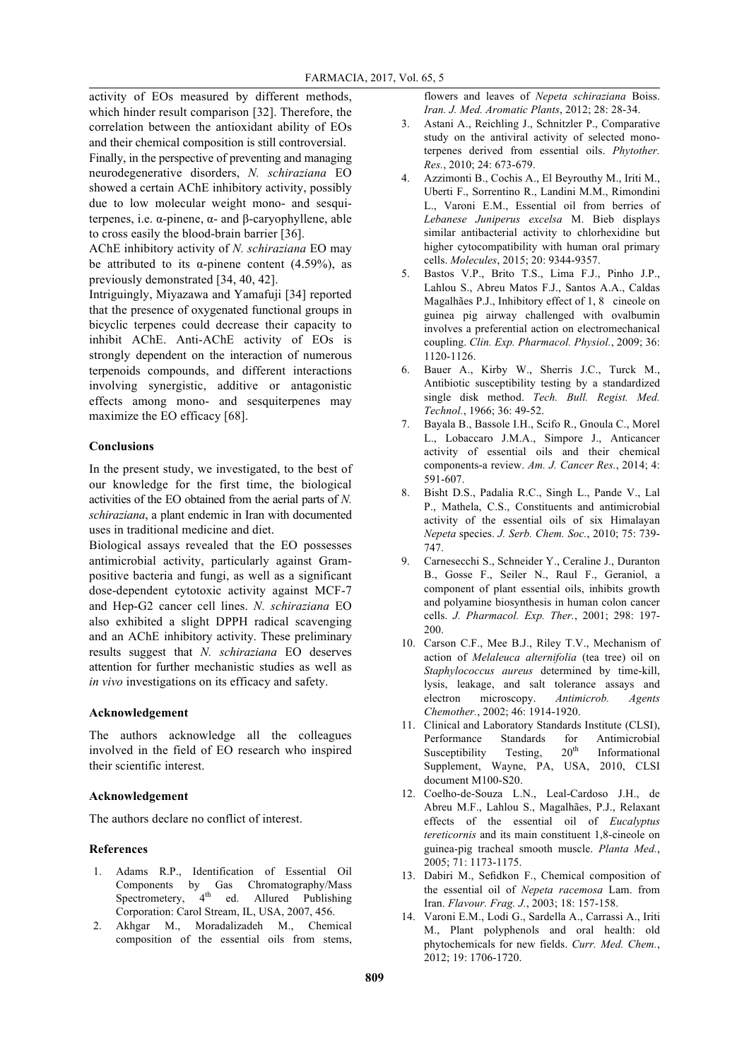activity of EOs measured by different methods, which hinder result comparison [32]. Therefore, the correlation between the antioxidant ability of EOs and their chemical composition is still controversial.

Finally, in the perspective of preventing and managing neurodegenerative disorders, *N. schiraziana* EO showed a certain AChE inhibitory activity, possibly due to low molecular weight mono- and sesquiterpenes, i.e. α-pinene, α- and β-caryophyllene, able to cross easily the blood-brain barrier [36].

AChE inhibitory activity of *N. schiraziana* EO may be attributed to its  $\alpha$ -pinene content (4.59%), as previously demonstrated [34, 40, 42].

Intriguingly, Miyazawa and Yamafuji [34] reported that the presence of oxygenated functional groups in bicyclic terpenes could decrease their capacity to inhibit AChE. Anti-AChE activity of EOs is strongly dependent on the interaction of numerous terpenoids compounds, and different interactions involving synergistic, additive or antagonistic effects among mono- and sesquiterpenes may maximize the EO efficacy [68].

## **Conclusions**

In the present study, we investigated, to the best of our knowledge for the first time, the biological activities of the EO obtained from the aerial parts of *N. schiraziana*, a plant endemic in Iran with documented uses in traditional medicine and diet.

Biological assays revealed that the EO possesses antimicrobial activity, particularly against Grampositive bacteria and fungi, as well as a significant dose-dependent cytotoxic activity against MCF-7 and Hep-G2 cancer cell lines. *N. schiraziana* EO also exhibited a slight DPPH radical scavenging and an AChE inhibitory activity. These preliminary results suggest that *N. schiraziana* EO deserves attention for further mechanistic studies as well as *in vivo* investigations on its efficacy and safety.

## **Acknowledgement**

The authors acknowledge all the colleagues involved in the field of EO research who inspired their scientific interest.

#### **Acknowledgement**

The authors declare no conflict of interest.

## **References**

- 1. Adams R.P., Identification of Essential Oil Components by Gas Chromatography/Mass Spectrometery,  $4<sup>th</sup>$  ed. Allured Publishing Corporation: Carol Stream, IL, USA, 2007, 456.
- 2. Akhgar M., Moradalizadeh M., Chemical composition of the essential oils from stems,

flowers and leaves of *Nepeta schiraziana* Boiss. *Iran. J. Med. Aromatic Plants*, 2012; 28: 28-34.

- 3. Astani A., Reichling J., Schnitzler P., Comparative study on the antiviral activity of selected monoterpenes derived from essential oils. *Phytother. Res.*, 2010; 24: 673-679.
- 4. Azzimonti B., Cochis A., El Beyrouthy M., Iriti M., Uberti F., Sorrentino R., Landini M.M., Rimondini L., Varoni E.M., Essential oil from berries of *Lebanese Juniperus excelsa* M. Bieb displays similar antibacterial activity to chlorhexidine but higher cytocompatibility with human oral primary cells. *Molecules*, 2015; 20: 9344-9357.
- 5. Bastos V.P., Brito T.S., Lima F.J., Pinho J.P., Lahlou S., Abreu Matos F.J., Santos A.A., Caldas Magalhães P.J., Inhibitory effect of 1, 8 cineole on guinea pig airway challenged with ovalbumin involves a preferential action on electromechanical coupling. *Clin. Exp. Pharmacol. Physiol.*, 2009; 36: 1120-1126.
- 6. Bauer A., Kirby W., Sherris J.C., Turck M., Antibiotic susceptibility testing by a standardized single disk method. *Tech. Bull. Regist. Med. Technol.*, 1966; 36: 49-52.
- 7. Bayala B., Bassole I.H., Scifo R., Gnoula C., Morel L., Lobaccaro J.M.A., Simpore J., Anticancer activity of essential oils and their chemical components-a review. *Am. J. Cancer Res.*, 2014; 4: 591-607.
- 8. Bisht D.S., Padalia R.C., Singh L., Pande V., Lal P., Mathela, C.S., Constituents and antimicrobial activity of the essential oils of six Himalayan *Nepeta* species. *J. Serb. Chem. Soc.*, 2010; 75: 739- 747.
- 9. Carnesecchi S., Schneider Y., Ceraline J., Duranton B., Gosse F., Seiler N., Raul F., Geraniol, a component of plant essential oils, inhibits growth and polyamine biosynthesis in human colon cancer cells. *J. Pharmacol. Exp. Ther.*, 2001; 298: 197- 200.
- 10. Carson C.F., Mee B.J., Riley T.V., Mechanism of action of *Melaleuca alternifolia* (tea tree) oil on *Staphylococcus aureus* determined by time-kill, lysis, leakage, and salt tolerance assays and electron microscopy. *Antimicrob. Agents Chemother.*, 2002; 46: 1914-1920.
- 11. Clinical and Laboratory Standards Institute (CLSI), Performance Standards for Antimicrobial Susceptibility Testing,  $20<sup>th</sup>$  Informational Supplement, Wayne, PA, USA, 2010, CLSI document M100-S20.
- 12. Coelho-de-Souza L.N., Leal-Cardoso J.H., de Abreu M.F., Lahlou S., Magalhães, P.J., Relaxant effects of the essential oil of *Eucalyptus tereticornis* and its main constituent 1,8-cineole on guinea-pig tracheal smooth muscle. *Planta Med.*, 2005; 71: 1173-1175.
- 13. Dabiri M., Sefidkon F., Chemical composition of the essential oil of *Nepeta racemosa* Lam. from Iran. *Flavour. Frag. J.*, 2003; 18: 157-158.
- 14. Varoni E.M., Lodi G., Sardella A., Carrassi A., Iriti M., Plant polyphenols and oral health: old phytochemicals for new fields. *Curr. Med. Chem.*, 2012; 19: 1706-1720.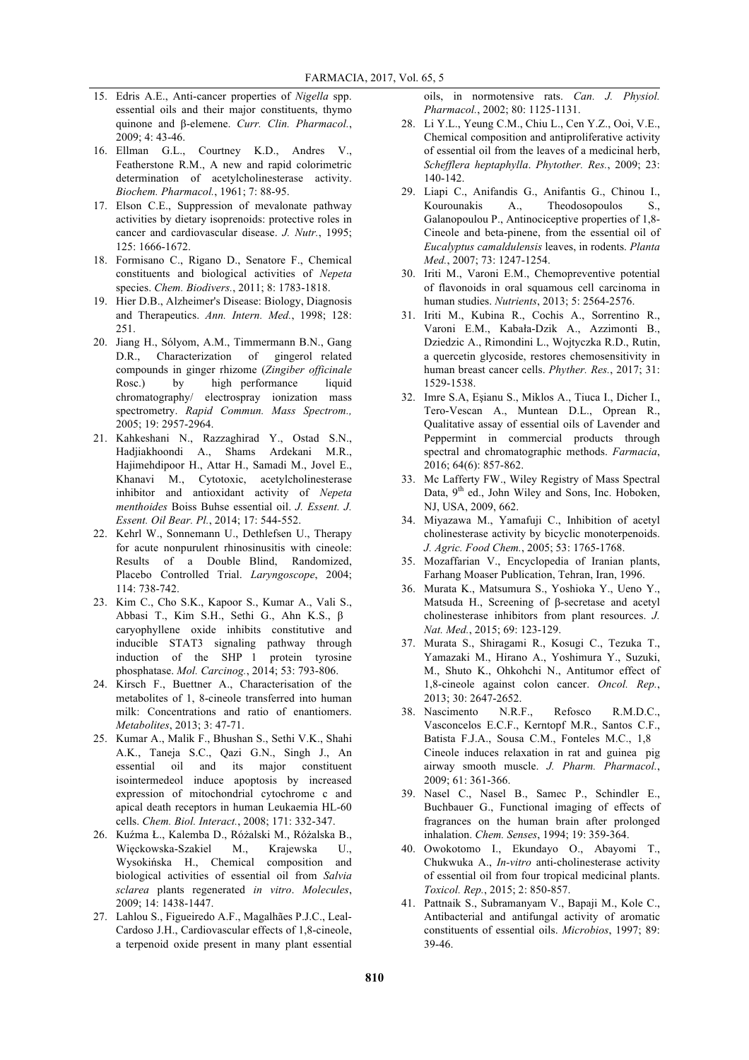- 15. Edris A.E., Anti-cancer properties of *Nigella* spp. essential oils and their major constituents, thymo quinone and β-elemene. *Curr. Clin. Pharmacol.*, 2009; 4: 43-46.
- 16. Ellman G.L., Courtney K.D., Andres V., Featherstone R.M., A new and rapid colorimetric determination of acetylcholinesterase activity. *Biochem. Pharmacol.*, 1961; 7: 88-95.
- 17. Elson C.E., Suppression of mevalonate pathway activities by dietary isoprenoids: protective roles in cancer and cardiovascular disease. *J. Nutr.*, 1995; 125: 1666-1672.
- 18. Formisano C., Rigano D., Senatore F., Chemical constituents and biological activities of *Nepeta* species. *Chem. Biodivers.*, 2011; 8: 1783-1818.
- 19. Hier D.B., Alzheimer's Disease: Biology, Diagnosis and Therapeutics. *Ann. Intern. Med.*, 1998; 128: 251.
- 20. Jiang H., Sólyom, A.M., Timmermann B.N., Gang D.R., Characterization of gingerol related compounds in ginger rhizome (*Zingiber officinale* Rosc.) by high performance liquid chromatography/ electrospray ionization mass spectrometry. *Rapid Commun. Mass Spectrom.,* 2005; 19: 2957-2964.
- 21. Kahkeshani N., Razzaghirad Y., Ostad S.N., Hadjiakhoondi A., Shams Ardekani M.R., Hajimehdipoor H., Attar H., Samadi M., Jovel E., Khanavi M., Cytotoxic, acetylcholinesterase inhibitor and antioxidant activity of *Nepeta menthoides* Boiss Buhse essential oil. *J. Essent. J. Essent. Oil Bear. Pl.*, 2014; 17: 544-552.
- 22. Kehrl W., Sonnemann U., Dethlefsen U., Therapy for acute nonpurulent rhinosinusitis with cineole: Results of a Double Blind, Randomized, Placebo Controlled Trial. *Laryngoscope*, 2004; 114: 738-742.
- 23. Kim C., Cho S.K., Kapoor S., Kumar A., Vali S., Abbasi T., Kim S.H., Sethi G., Ahn K.S., β caryophyllene oxide inhibits constitutive and inducible STAT3 signaling pathway through induction of the SHP 1 protein tyrosine phosphatase. *Mol. Carcinog.*, 2014; 53: 793-806.
- 24. Kirsch F., Buettner A., Characterisation of the metabolites of 1, 8-cineole transferred into human milk: Concentrations and ratio of enantiomers. *Metabolites*, 2013; 3: 47-71.
- 25. Kumar A., Malik F., Bhushan S., Sethi V.K., Shahi A.K., Taneja S.C., Qazi G.N., Singh J., An essential oil and its major constituent isointermedeol induce apoptosis by increased expression of mitochondrial cytochrome c and apical death receptors in human Leukaemia HL-60 cells. *Chem. Biol. Interact.*, 2008; 171: 332-347.
- 26. Kuźma Ł., Kalemba D., Różalski M., Różalska B., Więckowska-Szakiel M., Krajewska U., Wysokińska H., Chemical composition and biological activities of essential oil from *Salvia sclarea* plants regenerated *in vitro*. *Molecules*, 2009; 14: 1438-1447.
- 27. Lahlou S., Figueiredo A.F., Magalhães P.J.C., Leal-Cardoso J.H., Cardiovascular effects of 1,8-cineole, a terpenoid oxide present in many plant essential

oils, in normotensive rats. *Can. J. Physiol. Pharmacol.*, 2002; 80: 1125-1131.

- 28. Li Y.L., Yeung C.M., Chiu L., Cen Y.Z., Ooi, V.E., Chemical composition and antiproliferative activity of essential oil from the leaves of a medicinal herb, *Schefflera heptaphylla*. *Phytother. Res.*, 2009; 23: 140-142.
- 29. Liapi C., Anifandis G., Anifantis G., Chinou I., Kourounakis A., Theodosopoulos S., Galanopoulou P., Antinociceptive properties of 1,8- Cineole and beta-pinene, from the essential oil of *Eucalyptus camaldulensis* leaves, in rodents. *Planta Med.*, 2007; 73: 1247-1254.
- 30. Iriti M., Varoni E.M., Chemopreventive potential of flavonoids in oral squamous cell carcinoma in human studies. *Nutrients*, 2013; 5: 2564-2576.
- 31. Iriti M., Kubina R., Cochis A., Sorrentino R., Varoni E.M., Kabała-Dzik A., Azzimonti B., Dziedzic A., Rimondini L., Wojtyczka R.D., Rutin, a quercetin glycoside, restores chemosensitivity in human breast cancer cells. *Phyther. Res.*, 2017; 31: 1529-1538.
- 32. Imre S.A, Eşianu S., Miklos A., Tiuca I., Dicher I., Tero-Vescan A., Muntean D.L., Oprean R., Qualitative assay of essential oils of Lavender and Peppermint in commercial products through spectral and chromatographic methods. *Farmacia*, 2016; 64(6): 857-862.
- 33. Mc Lafferty FW., Wiley Registry of Mass Spectral Data, 9<sup>th</sup> ed., John Wiley and Sons, Inc. Hoboken, NJ, USA, 2009, 662.
- 34. Miyazawa M., Yamafuji C., Inhibition of acetyl cholinesterase activity by bicyclic monoterpenoids. *J. Agric. Food Chem.*, 2005; 53: 1765-1768.
- 35. Mozaffarian V., Encyclopedia of Iranian plants, Farhang Moaser Publication, Tehran, Iran, 1996.
- 36. Murata K., Matsumura S., Yoshioka Y., Ueno Y., Matsuda H., Screening of β-secretase and acetyl cholinesterase inhibitors from plant resources. *J. Nat. Med.*, 2015; 69: 123-129.
- 37. Murata S., Shiragami R., Kosugi C., Tezuka T., Yamazaki M., Hirano A., Yoshimura Y., Suzuki, M., Shuto K., Ohkohchi N., Antitumor effect of 1,8-cineole against colon cancer. *Oncol. Rep.*, 2013; 30: 2647-2652.
- 38. Nascimento N.R.F., Refosco R.M.D.C., Vasconcelos E.C.F., Kerntopf M.R., Santos C.F., Batista F.J.A., Sousa C.M., Fonteles M.C., 1,8 Cineole induces relaxation in rat and guinea pig airway smooth muscle. *J. Pharm. Pharmacol.*, 2009; 61: 361-366.
- 39. Nasel C., Nasel B., Samec P., Schindler E., Buchbauer G., Functional imaging of effects of fragrances on the human brain after prolonged inhalation. *Chem. Senses*, 1994; 19: 359-364.
- 40. Owokotomo I., Ekundayo O., Abayomi T., Chukwuka A., *In-vitro* anti-cholinesterase activity of essential oil from four tropical medicinal plants. *Toxicol. Rep.*, 2015; 2: 850-857.
- 41. Pattnaik S., Subramanyam V., Bapaji M., Kole C., Antibacterial and antifungal activity of aromatic constituents of essential oils. *Microbios*, 1997; 89: 39-46.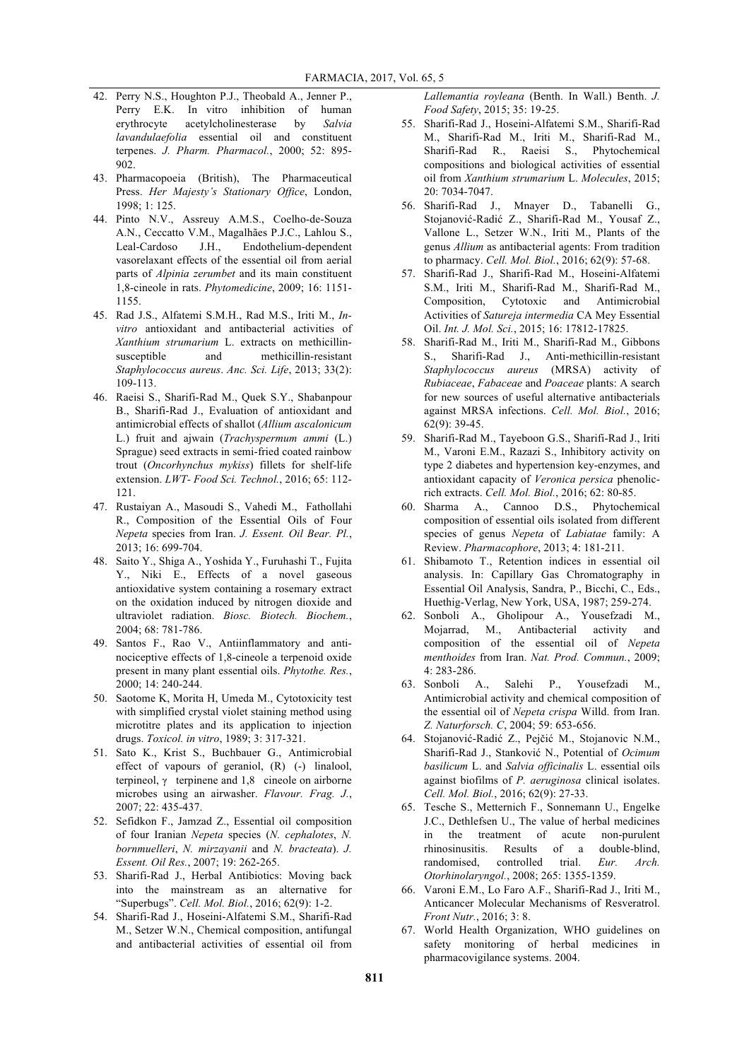- 42. Perry N.S., Houghton P.J., Theobald A., Jenner P., Perry E.K. In vitro inhibition of human erythrocyte acetylcholinesterase by *Salvia lavandulaefolia* essential oil and constituent terpenes. *J. Pharm. Pharmacol.*, 2000; 52: 895- 902.
- 43. Pharmacopoeia (British), The Pharmaceutical Press. *Her Majesty's Stationary Office*, London, 1998; 1: 125.
- 44. Pinto N.V., Assreuy A.M.S., Coelho-de-Souza A.N., Ceccatto V.M., Magalhães P.J.C., Lahlou S., Leal-Cardoso J.H., Endothelium-dependent vasorelaxant effects of the essential oil from aerial parts of *Alpinia zerumbet* and its main constituent 1,8-cineole in rats. *Phytomedicine*, 2009; 16: 1151- 1155.
- 45. Rad J.S., Alfatemi S.M.H., Rad M.S., Iriti M., *Invitro* antioxidant and antibacterial activities of *Xanthium strumarium* L. extracts on methicillinsusceptible and methicillin-resistant *Staphylococcus aureus*. *Anc. Sci. Life*, 2013; 33(2): 109-113.
- 46. Raeisi S., Sharifi-Rad M., Quek S.Y., Shabanpour B., Sharifi-Rad J., Evaluation of antioxidant and antimicrobial effects of shallot (*Allium ascalonicum* L.) fruit and ajwain (*Trachyspermum ammi* (L.) Sprague) seed extracts in semi-fried coated rainbow trout (*Oncorhynchus mykiss*) fillets for shelf-life extension. *LWT- Food Sci. Technol.*, 2016; 65: 112- 121.
- 47. Rustaiyan A., Masoudi S., Vahedi M., Fathollahi R., Composition of the Essential Oils of Four *Nepeta* species from Iran. *J. Essent. Oil Bear. Pl.*, 2013; 16: 699-704.
- 48. Saito Y., Shiga A., Yoshida Y., Furuhashi T., Fujita Y., Niki E., Effects of a novel gaseous antioxidative system containing a rosemary extract on the oxidation induced by nitrogen dioxide and ultraviolet radiation. *Biosc. Biotech. Biochem.*, 2004; 68: 781-786.
- 49. Santos F., Rao V., Antiinflammatory and antinociceptive effects of 1,8-cineole a terpenoid oxide present in many plant essential oils. *Phytothe. Res.*, 2000; 14: 240-244.
- 50. Saotome K, Morita H, Umeda M., Cytotoxicity test with simplified crystal violet staining method using microtitre plates and its application to injection drugs. *Toxicol. in vitro*, 1989; 3: 317-321.
- 51. Sato K., Krist S., Buchbauer G., Antimicrobial effect of vapours of geraniol,  $(R)$  (-) linalool, terpineol,  $\gamma$  terpinene and 1,8 cineole on airborne microbes using an airwasher. *Flavour. Frag. J.*, 2007; 22: 435-437.
- 52. Sefidkon F., Jamzad Z., Essential oil composition of four Iranian *Nepeta* species (*N. cephalotes*, *N. bornmuelleri*, *N. mirzayanii* and *N. bracteata*). *J. Essent. Oil Res.*, 2007; 19: 262-265.
- 53. Sharifi-Rad J., Herbal Antibiotics: Moving back into the mainstream as an alternative for "Superbugs". *Cell. Mol. Biol.*, 2016; 62(9): 1-2.
- 54. Sharifi-Rad J., Hoseini-Alfatemi S.M., Sharifi-Rad M., Setzer W.N., Chemical composition, antifungal and antibacterial activities of essential oil from

*Lallemantia royleana* (Benth. In Wall.) Benth. *J. Food Safety*, 2015; 35: 19-25.

- 55. Sharifi-Rad J., Hoseini-Alfatemi S.M., Sharifi-Rad M., Sharifi-Rad M., Iriti M., Sharifi-Rad M., Sharifi-Rad R., Raeisi S., Phytochemical compositions and biological activities of essential oil from *Xanthium strumarium* L. *Molecules*, 2015; 20: 7034-7047.
- 56. Sharifi-Rad J., Mnayer D., Tabanelli G., Stojanović-Radić Z., Sharifi-Rad M., Yousaf Z., Vallone L., Setzer W.N., Iriti M., Plants of the genus *Allium* as antibacterial agents: From tradition to pharmacy. *Cell. Mol. Biol.*, 2016; 62(9): 57-68.
- 57. Sharifi-Rad J., Sharifi-Rad M., Hoseini-Alfatemi S.M., Iriti M., Sharifi-Rad M., Sharifi-Rad M., Composition, Cytotoxic and Antimicrobial Activities of *Satureja intermedia* CA Mey Essential Oil. *Int. J. Mol. Sci.*, 2015; 16: 17812-17825.
- 58. Sharifi-Rad M., Iriti M., Sharifi-Rad M., Gibbons S., Sharifi-Rad J., Anti-methicillin-resistant *Staphylococcus aureus* (MRSA) activity of *Rubiaceae*, *Fabaceae* and *Poaceae* plants: A search for new sources of useful alternative antibacterials against MRSA infections. *Cell. Mol. Biol.*, 2016; 62(9): 39-45.
- 59. Sharifi-Rad M., Tayeboon G.S., Sharifi-Rad J., Iriti M., Varoni E.M., Razazi S., Inhibitory activity on type 2 diabetes and hypertension key-enzymes, and antioxidant capacity of *Veronica persica* phenolicrich extracts. *Cell. Mol. Biol.*, 2016; 62: 80-85.
- 60. Sharma A., Cannoo D.S., Phytochemical composition of essential oils isolated from different species of genus *Nepeta* of *Labiatae* family: A Review. *Pharmacophore*, 2013; 4: 181-211.
- 61. Shibamoto T., Retention indices in essential oil analysis. In: Capillary Gas Chromatography in Essential Oil Analysis, Sandra, P., Bicchi, C., Eds., Huethig-Verlag, New York, USA, 1987; 259-274.
- 62. Sonboli A., Gholipour A., Yousefzadi M., Mojarrad, M., Antibacterial activity and composition of the essential oil of *Nepeta menthoides* from Iran. *Nat. Prod. Commun.*, 2009; 4: 283-286.
- 63. Sonboli A., Salehi P., Yousefzadi M., Antimicrobial activity and chemical composition of the essential oil of *Nepeta crispa* Willd. from Iran. *Z. Naturforsch. C*, 2004; 59: 653-656.
- 64. Stojanović-Radić Z., Pejčić M., Stojanovic N.M., Sharifi-Rad J., Stanković N., Potential of *Ocimum basilicum* L. and *Salvia officinalis* L. essential oils against biofilms of *P. aeruginosa* clinical isolates. *Cell. Mol. Biol.*, 2016; 62(9): 27-33.
- 65. Tesche S., Metternich F., Sonnemann U., Engelke J.C., Dethlefsen U., The value of herbal medicines in the treatment of acute non-purulent rhinosinusitis. Results of a double-blind, randomised, controlled trial. *Eur. Arch. Otorhinolaryngol.*, 2008; 265: 1355-1359.
- 66. Varoni E.M., Lo Faro A.F., Sharifi-Rad J., Iriti M., Anticancer Molecular Mechanisms of Resveratrol. *Front Nutr.*, 2016; 3: 8.
- 67. World Health Organization, WHO guidelines on safety monitoring of herbal medicines in pharmacovigilance systems. 2004.